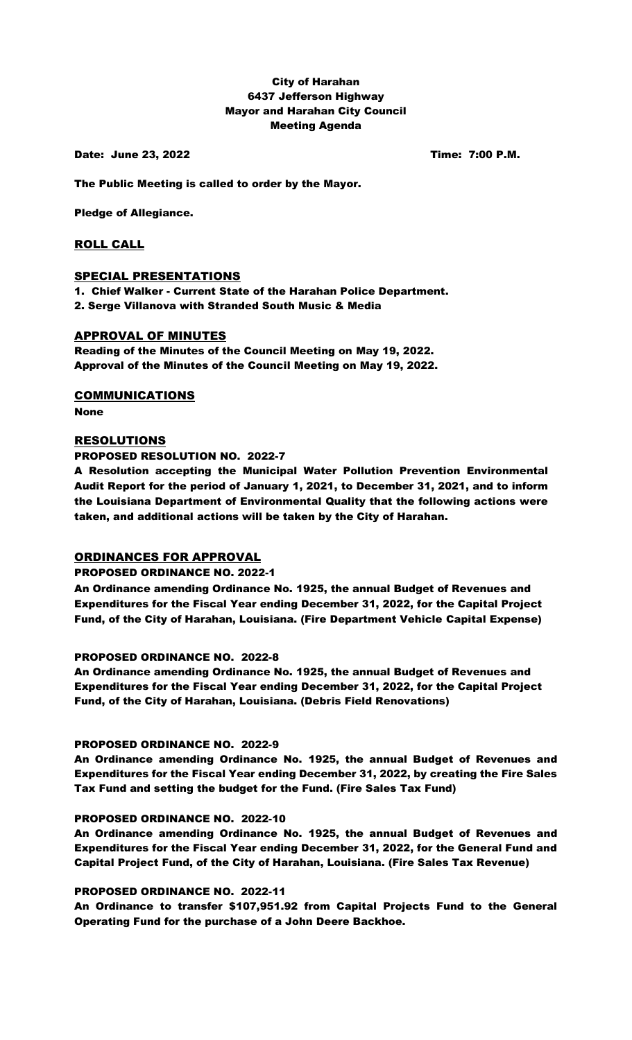# City of Harahan 6437 Jefferson Highway Mayor and Harahan City Council Meeting Agenda

Date: June 23, 2022 **Time: 7:00 P.M.** 

The Public Meeting is called to order by the Mayor.

Pledge of Allegiance.

# ROLL CALL

# SPECIAL PRESENTATIONS

1. Chief Walker - Current State of the Harahan Police Department. 2. Serge Villanova with Stranded South Music & Media

# APPROVAL OF MINUTES

Reading of the Minutes of the Council Meeting on May 19, 2022. Approval of the Minutes of the Council Meeting on May 19, 2022.

COMMUNICATIONS

None

# RESOLUTIONS

PROPOSED RESOLUTION NO. 2022-7

A Resolution accepting the Municipal Water Pollution Prevention Environmental Audit Report for the period of January 1, 2021, to December 31, 2021, and to inform the Louisiana Department of Environmental Quality that the following actions were taken, and additional actions will be taken by the City of Harahan.

# ORDINANCES FOR APPROVAL

### PROPOSED ORDINANCE NO. 2022-1

An Ordinance amending Ordinance No. 1925, the annual Budget of Revenues and Expenditures for the Fiscal Year ending December 31, 2022, for the Capital Project Fund, of the City of Harahan, Louisiana. (Fire Department Vehicle Capital Expense)

### PROPOSED ORDINANCE NO. 2022-8

An Ordinance amending Ordinance No. 1925, the annual Budget of Revenues and Expenditures for the Fiscal Year ending December 31, 2022, for the Capital Project Fund, of the City of Harahan, Louisiana. (Debris Field Renovations)

### PROPOSED ORDINANCE NO. 2022-9

An Ordinance amending Ordinance No. 1925, the annual Budget of Revenues and Expenditures for the Fiscal Year ending December 31, 2022, by creating the Fire Sales Tax Fund and setting the budget for the Fund. (Fire Sales Tax Fund)

### PROPOSED ORDINANCE NO. 2022-10

An Ordinance amending Ordinance No. 1925, the annual Budget of Revenues and Expenditures for the Fiscal Year ending December 31, 2022, for the General Fund and Capital Project Fund, of the City of Harahan, Louisiana. (Fire Sales Tax Revenue)

### PROPOSED ORDINANCE NO. 2022-11

An Ordinance to transfer \$107,951.92 from Capital Projects Fund to the General Operating Fund for the purchase of a John Deere Backhoe.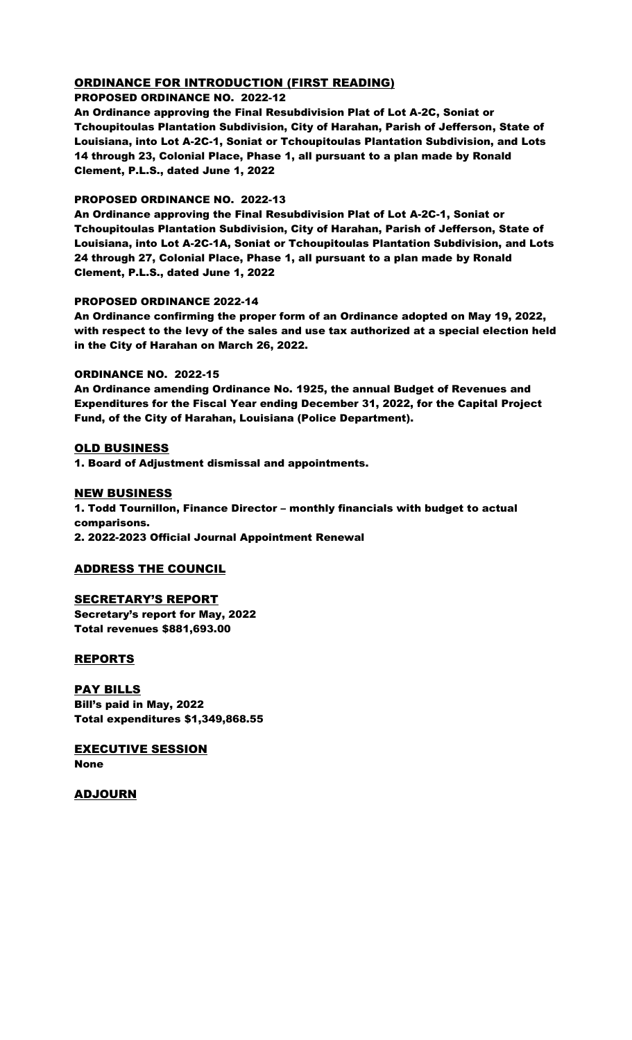# ORDINANCE FOR INTRODUCTION (FIRST READING)

### PROPOSED ORDINANCE NO. 2022-12

An Ordinance approving the Final Resubdivision Plat of Lot A-2C, Soniat or Tchoupitoulas Plantation Subdivision, City of Harahan, Parish of Jefferson, State of Louisiana, into Lot A-2C-1, Soniat or Tchoupitoulas Plantation Subdivision, and Lots 14 through 23, Colonial Place, Phase 1, all pursuant to a plan made by Ronald Clement, P.L.S., dated June 1, 2022

### PROPOSED ORDINANCE NO. 2022-13

An Ordinance approving the Final Resubdivision Plat of Lot A-2C-1, Soniat or Tchoupitoulas Plantation Subdivision, City of Harahan, Parish of Jefferson, State of Louisiana, into Lot A-2C-1A, Soniat or Tchoupitoulas Plantation Subdivision, and Lots 24 through 27, Colonial Place, Phase 1, all pursuant to a plan made by Ronald Clement, P.L.S., dated June 1, 2022

# PROPOSED ORDINANCE 2022-14

An Ordinance confirming the proper form of an Ordinance adopted on May 19, 2022, with respect to the levy of the sales and use tax authorized at a special election held in the City of Harahan on March 26, 2022.

### ORDINANCE NO. 2022-15

An Ordinance amending Ordinance No. 1925, the annual Budget of Revenues and Expenditures for the Fiscal Year ending December 31, 2022, for the Capital Project Fund, of the City of Harahan, Louisiana (Police Department).

# OLD BUSINESS

1. Board of Adjustment dismissal and appointments.

# NEW BUSINESS

1. Todd Tournillon, Finance Director – monthly financials with budget to actual comparisons. 2. 2022-2023 Official Journal Appointment Renewal

# ADDRESS THE COUNCIL

# SECRETARY'S REPORT Secretary's report for May, 2022 Total revenues \$881,693.00

# **REPORTS**

PAY BILLS Bill's paid in May, 2022 Total expenditures \$1,349,868.55

EXECUTIVE SESSION None

ADJOURN